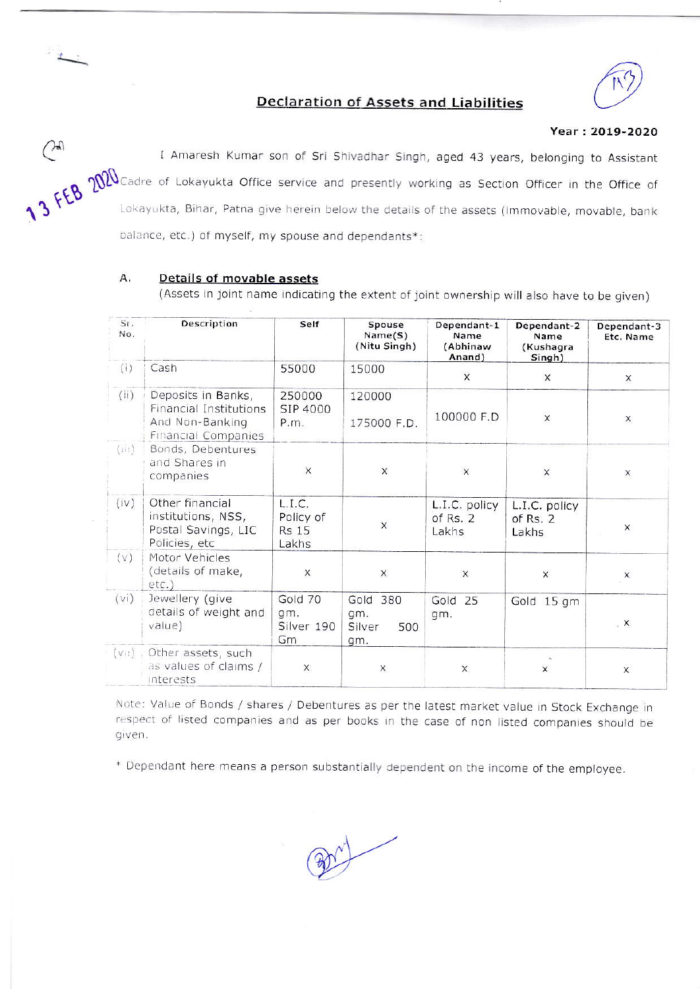

# **Declaration of Assets and Liabilities**

## Year: 2019-2020

<sup>1</sup> Amaresh Kumar son of Sri Shivadhar Singh, aged 43 years, belonging to Assistant<br>3 FEB 2000 Cadre of Lokayukta Office service and presently working as Section Officer in the Office of<br>Lokayukta, Bihar, Patna give bergin balance, etc.) of myself, my spouse and dependants\*:

#### A. **Details of movable assets**

(Assets in joint name indicating the extent of joint ownership will also have to be given)

| Sr.<br>No. | Description                                                                                   | Self                                         | Spouse<br>Name(S)<br>(Nitu Singh)       | Dependant-1<br>Name<br>(Abhinaw<br>Anand) | Dependant-2<br>Name<br>(Kushagra<br>Singh) | Dependant-3<br>Etc. Name |
|------------|-----------------------------------------------------------------------------------------------|----------------------------------------------|-----------------------------------------|-------------------------------------------|--------------------------------------------|--------------------------|
| (i)        | Cash                                                                                          | 55000                                        | 15000                                   | X                                         | $\times$                                   | X                        |
| (ii)       | Deposits in Banks,<br>Financial Institutions<br>And Non-Banking<br><b>Financial Companies</b> | 250000<br>SIP 4000<br>P.m.                   | 120000<br>175000 F.D.                   | 100000 F.D                                | $\pmb{\times}$                             | X                        |
| (iii)      | Bonds, Debentures<br>and Shares in<br>companies                                               | $\times$                                     | $\times$                                | X                                         | $\mathsf X$                                | X                        |
| (iv)       | Other financial<br>institutions, NSS,<br>Postal Savings, LIC<br>Policies, etc                 | L.I.C.<br>Policy of<br><b>Rs 15</b><br>Lakhs | $\times$                                | L.I.C. policy<br>of Rs. 2<br>Lakhs        | L.I.C. policy<br>of Rs. $2$<br>Lakhs       | X                        |
| (v)        | Motor Vehicles<br>(details of make,<br>$etc.$ )                                               | X                                            | $\times$                                | $\mathsf X$                               | X                                          | $\times$                 |
| (vi)       | Jewellery (give<br>details of weight and<br>value)                                            | Gold 70<br>qm.<br>Silver 190<br>Gm           | Gold 380<br>gm.<br>Silver<br>500<br>qm. | Gold 25<br>gm.                            | Gold 15 gm                                 | $\cdot$ X                |
| $(v_0)$    | Other assets, such<br>as values of claims /<br>interests                                      | X.                                           | X                                       | $\times$                                  | X                                          | $\overline{\mathsf{x}}$  |

Note: Value of Bonds / shares / Debentures as per the latest market value in Stock Exchange in respect of listed companies and as per books in the case of non listed companies should be given.

\* Dependant here means a person substantially dependent on the income of the employee.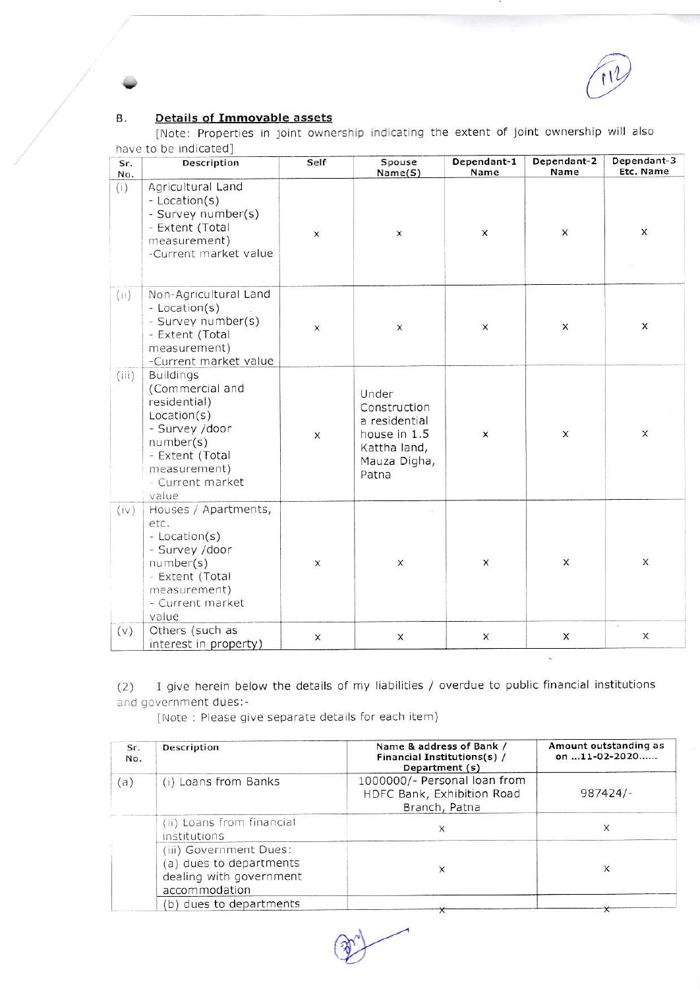### **Details of Immovable assets** В.

[Note: Properties in joint ownership indicating the extent of joint ownership will also have to be indicated]

| Sr.<br>No. | Description                                                                                                                                                       | Self         | Spouse<br>Name(S)                                                                               | Dependant-1<br>Name | Dependant-2<br>Name | Dependant-3<br>Etc. Name |
|------------|-------------------------------------------------------------------------------------------------------------------------------------------------------------------|--------------|-------------------------------------------------------------------------------------------------|---------------------|---------------------|--------------------------|
| (i)        | Agricultural Land<br>- Location(s)<br>- Survey number(s)<br>- Extent (Total<br>measurement)<br>-Current market value                                              | X            | Х                                                                                               | $\pmb{\times}$      | $\pmb{\times}$      | $\mathsf{x}$             |
| (ii)       | Non-Agricultural Land<br>- Location(s)<br>- Survey number(s)<br>- Extent (Total<br>measurement)<br>-Current market value                                          | X            | $\times$                                                                                        | $\times$            | $\times$            | X                        |
| (iii)      | <b>Buildings</b><br>(Commercial and<br>residential)<br>Location(s)<br>- Survey /door<br>number(s)<br>- Extent (Total<br>measurement)<br>- Current market<br>value | $\mathsf{x}$ | Under<br>Construction<br>a residential<br>house in 1.5<br>Kattha land,<br>Mauza Digha,<br>Patna | $\mathsf{x}$        | $\times$            | X                        |
| (iv)       | Houses / Apartments,<br>etc.<br>- Location(s)<br>- Survey /door<br>number(s)<br>- Extent (Total<br>measurement)<br>- Current market<br>value                      | X            | X                                                                                               | X                   | $\times$            | $\times$                 |
| (v)        | Others (such as<br>interest in property)                                                                                                                          | $\mathsf X$  | X                                                                                               | X                   | X                   | X                        |

I give herein below the details of my liabilities / overdue to public financial institutions  $(2)$ and government dues:-

[Note: Please give separate details for each item)

| Sr.<br>No. | Description                                                                                   | Name & address of Bank /<br>Financial Institutions(s) /<br>Department (s)   | Amount outstanding as<br>on 11-02-2020 |  |
|------------|-----------------------------------------------------------------------------------------------|-----------------------------------------------------------------------------|----------------------------------------|--|
| (a)        | (i) Loans from Banks                                                                          | 1000000/- Personal loan from<br>HDFC Bank, Exhibition Road<br>Branch, Patna | $987424/-$                             |  |
|            | (ii) Loans from financial<br>institutions                                                     |                                                                             | X                                      |  |
|            | (iii) Government Dues:<br>(a) dues to departments<br>dealing with government<br>accommodation | X                                                                           | $\times$                               |  |
|            | (b) dues to departments                                                                       |                                                                             |                                        |  |